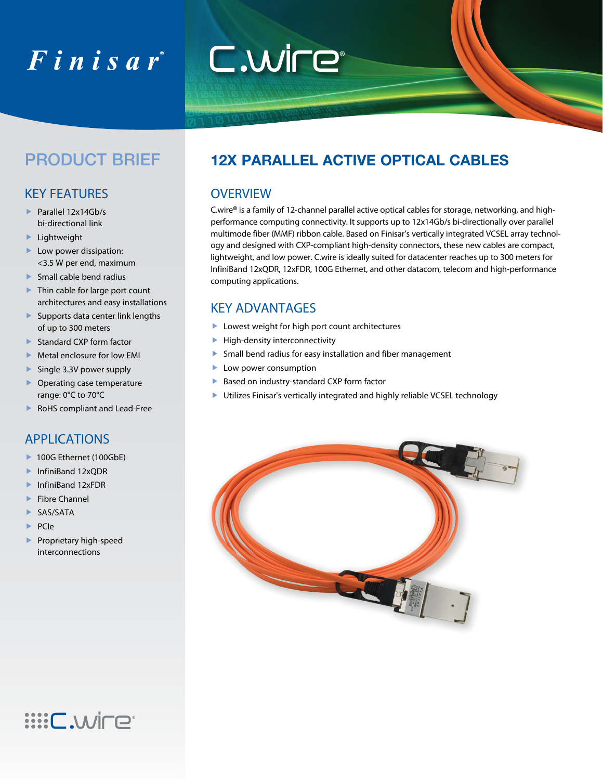# $F$ inisar $^{\circ}$

#### key features

- ▶ Parallel 12x14Gb/s bi-directional link
- **Lightweight**
- Low power dissipation: <3.5 W per end, maximum
- **Small cable bend radius**
- ▶ Thin cable for large port count architectures and easy installations
- **Supports data center link lengths** of up to 300 meters
- ▶ Standard CXP form factor
- $\blacktriangleright$  Metal enclosure for low EMI
- Single 3.3V power supply
- ▶ Operating case temperature range: 0°C to 70°C
- ▶ RoHS compliant and Lead-Free

#### **APPLICATIONS**

- ▶ 100G Ethernet (100GbE)
- ▶ InfiniBand 12xODR
- ▶ InfiniBand 12xFDR
- ▶ Fibre Channel
- SAS/SATA
- $\blacktriangleright$  PCIe
- **Proprietary high-speed** interconnections

**ENV.DEE:** 

### PRODUCT BRIEF **12X parallel active optical cableS**

#### **OVERVIEW**

C.wire® is a family of 12-channel parallel active optical cables for storage, networking, and highperformance computing connectivity. It supports up to 12x14Gb/s bi-directionally over parallel multimode fiber (MMF) ribbon cable. Based on Finisar's vertically integrated VCSEL array technology and designed with CXP-compliant high-density connectors, these new cables are compact, lightweight, and low power. C.wire is ideally suited for datacenter reaches up to 300 meters for InfiniBand 12xQDR, 12xFDR, 100G Ethernet, and other datacom, telecom and high-performance computing applications.

#### Key Advantages

- **Lowest weight for high port count architectures**
- $\blacktriangleright$  High-density interconnectivity

C.WIFE<sup>®</sup>

- Small bend radius for easy installation and fiber management
- Low power consumption
- Based on industry-standard CXP form factor
- Utilizes Finisar's vertically integrated and highly reliable VCSEL technology